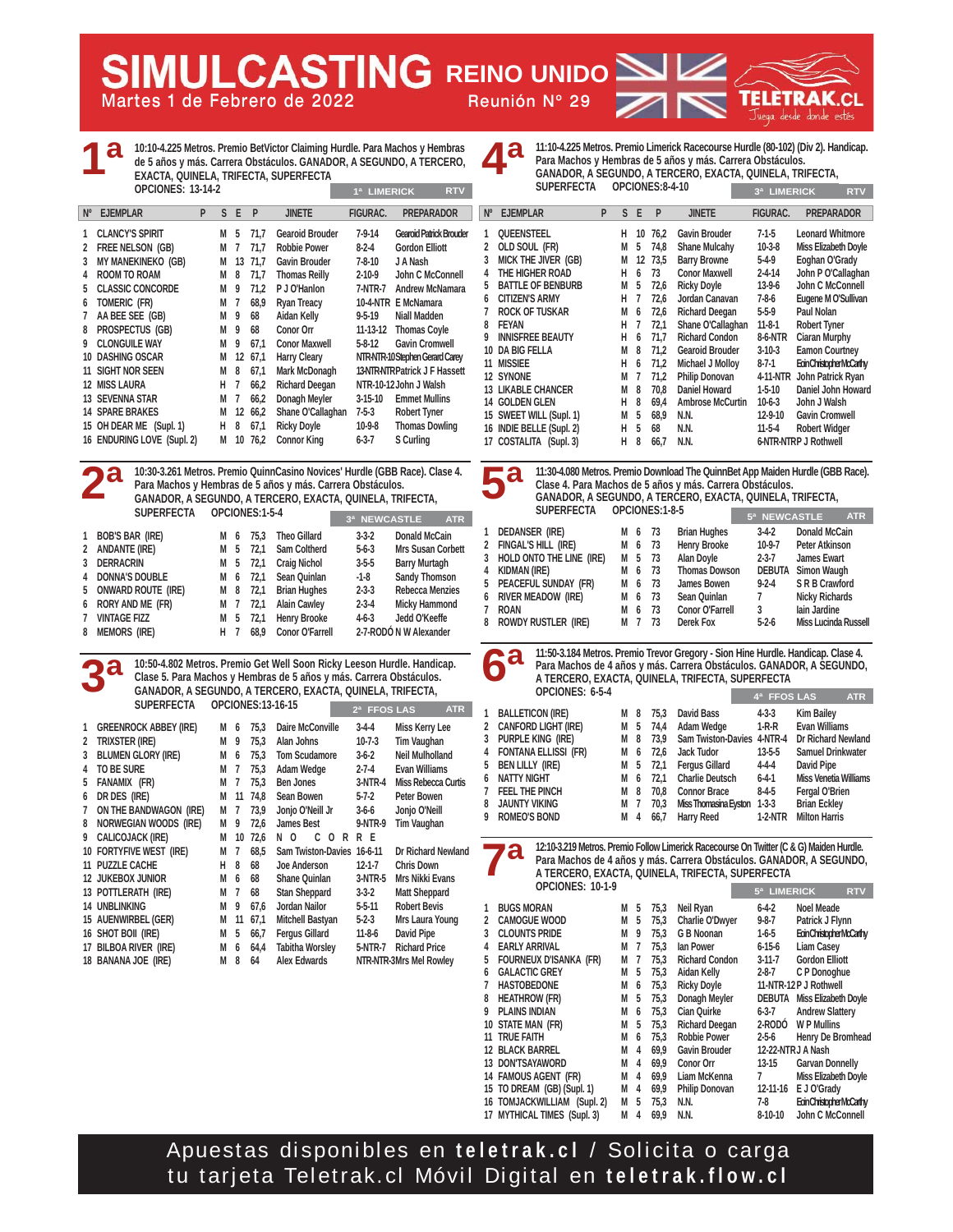**Martes 1 de Febrero de 2022 Reunión Nº 29**

**ULCASTING REINO UNIDO** 



**10:10-4.225 Metros. Premio BetVictor Claiming Hurdle. Para Machos y Hembras de 5 años y más. Carrera Obstáculos. GANADOR, A SEGUNDO, A TERCERO, EXACTA, QUINELA, TRIFECTA, SUPERFECTA OPCIONES: 13-14-2 Nº EJEMPLAR P S E P JINETE FIGURAC. PREPARADOR 1ª 1ª LIMERICK RTV**

| $\mathbf{N}$   | <b>EJEWPLAR</b>            | ۲ | $\mathbf{r}$ | г. | P    | JINETE                 | <b>FIGURAL.</b> | <b>PREPARADUR</b>                    |
|----------------|----------------------------|---|--------------|----|------|------------------------|-----------------|--------------------------------------|
| 1              | <b>CLANCY'S SPIRIT</b>     |   | М            | 5  | 71.7 | <b>Gearoid Brouder</b> | 7-9-14          | <b>Gearoid Patrick Brouder</b>       |
| $\overline{2}$ | <b>FREE NELSON (GB)</b>    |   | М            | 7  | 71.7 | <b>Robbie Power</b>    | $8-2-4$         | <b>Gordon Elliott</b>                |
| 3              | MY MANEKINEKO (GB)         |   | М            | 13 | 71,7 | <b>Gavin Brouder</b>   | $7 - 8 - 10$    | J A Nash                             |
| 4              | ROOM TO ROAM               |   | М            | 8  | 71,7 | <b>Thomas Reilly</b>   | $2 - 10 - 9$    | John C McConnell                     |
| 5              | <b>CLASSIC CONCORDE</b>    |   | М            | 9  | 71.2 | P J O'Hanlon           | 7-NTR-7         | Andrew McNamara                      |
| 6              | TOMERIC (FR)               |   | М            | 7  | 68,9 | <b>Ryan Treacy</b>     |                 | 10-4-NTR E McNamara                  |
| 7              | AA BEE SEE (GB)            |   | M            | 9  | 68   | Aidan Kelly            | $9 - 5 - 19$    | Niall Madden                         |
| 8              | PROSPECTUS (GB)            |   | М            | 9  | 68   | Conor Orr              | $11 - 13 - 12$  | <b>Thomas Coyle</b>                  |
| 9              | <b>CLONGUILE WAY</b>       |   | М            | 9  | 67.1 | <b>Conor Maxwell</b>   | $5 - 8 - 12$    | <b>Gavin Cromwell</b>                |
|                | <b>10 DASHING OSCAR</b>    |   | М            | 12 | 67,1 | <b>Harry Cleary</b>    |                 | NTR-NTR-10 Stephen Gerard Carey      |
|                | 11 SIGHT NOR SEEN          |   | М            | 8  | 67.1 | Mark McDonagh          |                 | <b>13-NTR-NTRPatrick J F Hassett</b> |
|                | <b>12 MISS LAURA</b>       |   | н            | 7  | 66,2 | <b>Richard Deegan</b>  |                 | NTR-10-12 John J Walsh               |
|                | <b>13 SEVENNA STAR</b>     |   | М            | 7  | 66,2 | Donagh Meyler          | $3-15-10$       | <b>Emmet Mullins</b>                 |
|                | <b>14 SPARE BRAKES</b>     |   | М            | 12 | 66,2 | Shane O'Callaghan      | $7-5-3$         | <b>Robert Tyner</b>                  |
|                | 15 OH DEAR ME (Supl. 1)    |   | н            | 8  | 67,1 | <b>Ricky Doyle</b>     | $10-9-8$        | <b>Thomas Dowling</b>                |
|                | 16 ENDURING LOVE (Supl. 2) |   | М            | 10 | 76,2 | <b>Connor King</b>     | $6 - 3 - 7$     | S Curlina                            |

**10:30-3.261 Metros. Premio QuinnCasino Novices' Hurdle (GBB Race). Clase 4. Para Machos y Hembras de 5 años y más. Carrera Obstáculos. GANADOR, A SEGUNDO, A TERCERO, EXACTA, QUINELA, TRIFECTA, 2ª**

|                | <b>SUPERFECTA</b>         |     |     | OPCIONES:1-5-4 |                        |              |                          |  |
|----------------|---------------------------|-----|-----|----------------|------------------------|--------------|--------------------------|--|
|                |                           |     |     |                |                        | 3ª NEWCASTLE | <b>ATR</b>               |  |
| 1              | <b>BOB'S BAR (IRE)</b>    | M 6 |     | 75.3           | <b>Theo Gillard</b>    | $3 - 3 - 2$  | <b>Donald McCain</b>     |  |
| $\overline{2}$ | <b>ANDANTE (IRE)</b>      | M   | 5   | 72.1           | Sam Coltherd           | $5-6-3$      | <b>Mrs Susan Corbett</b> |  |
|                | <b>DERRACRIN</b>          | M 5 |     | 72,1           | <b>Craig Nichol</b>    | $3 - 5 - 5$  | <b>Barry Murtagh</b>     |  |
|                | <b>DONNA'S DOUBLE</b>     | M   | - 6 | 72.1           | Sean Quinlan           | -1-8         | <b>Sandy Thomson</b>     |  |
| 5              | <b>ONWARD ROUTE (IRE)</b> | M 8 |     | 72,1           | <b>Brian Hughes</b>    | $2 - 3 - 3$  | <b>Rebecca Menzies</b>   |  |
| 6              | RORY AND ME (FR)          | M 7 |     | 72.1           | <b>Alain Cawley</b>    | $2 - 3 - 4$  | <b>Micky Hammond</b>     |  |
|                | <b>VINTAGE FIZZ</b>       | M   | - 5 | 72.1           | <b>Henry Brooke</b>    | $4-6-3$      | Jedd O'Keeffe            |  |
| 8              | <b>MEMORS (IRE)</b>       | H 7 |     | 68.9           | <b>Conor O'Farrell</b> |              | 2-7-RODÓ N W Alexander   |  |

**10:50-4.802 Metros. Premio Get Well Soon Ricky Leeson Hurdle. Handicap. Clase 5. Para Machos y Hembras de 5 años y más. Carrera Obstáculos. GANADOR, A SEGUNDO, A TERCERO, EXACTA, QUINELA, TRIFECTA, SUPERFECTA OPCIONES:13-16-15 2ª FFOS LAS ATR 3ª**

| 1  | <b>GREENROCK ABBEY (IRE)</b> | М | 6  | 75.3 | Daire McConville           | $3-4-4$      | <b>Miss Kerry Lee</b>  |
|----|------------------------------|---|----|------|----------------------------|--------------|------------------------|
| 2  | <b>TRIXSTER (IRE)</b>        | М | 9  | 75.3 | Alan Johns                 | $10 - 7 - 3$ | <b>Tim Vaughan</b>     |
| 3  | <b>BLUMEN GLORY (IRE)</b>    | M | 6  | 75.3 | <b>Tom Scudamore</b>       | $3-6-2$      | <b>Neil Mulholland</b> |
| 4  | <b>TO BE SURE</b>            | M | 7  | 75,3 | <b>Adam Wedge</b>          | $2 - 7 - 4$  | <b>Evan Williams</b>   |
| 5  | <b>FANAMIX (FR)</b>          | М | 7  | 75.3 | <b>Ben Jones</b>           | 3-NTR-4      | Miss Rebecca Curtis    |
| 6  | DR DES (IRE)                 | М | 11 | 74.8 | Sean Bowen                 | $5 - 7 - 2$  | Peter Bowen            |
| 7  | ON THE BANDWAGON (IRE)       | М | 7  | 73.9 | Jonjo O'Neill Jr           | $3-6-6$      | Jonjo O'Neill          |
| 8  | <b>NORWEGIAN WOODS (IRE)</b> | М | 9  | 72.6 | <b>James Best</b>          | 9-NTR-9      | <b>Tim Vaughan</b>     |
| 9  | <b>CALICOJACK (IRE)</b>      | М | 10 | 72.6 | - 0<br>C.<br>0<br>R<br>N.  | R E          |                        |
|    |                              |   |    |      |                            |              |                        |
|    | 10 FORTYFIVE WEST (IRE)      | М | 7  | 68.5 | Sam Twiston-Davies 16-6-11 |              | Dr Richard Newland     |
| 11 | <b>PUZZLE CACHE</b>          | н | 8  | 68   | Joe Anderson               | $12 - 1 - 7$ | <b>Chris Down</b>      |
|    | <b>12 JUKEBOX JUNIOR</b>     | M | 6  | 68   | <b>Shane Quinlan</b>       | $3-NTR-5$    | Mrs Nikki Evans        |
|    | 13 POTTLERATH (IRE)          | M | 7  | 68   | <b>Stan Sheppard</b>       | $3 - 3 - 2$  | <b>Matt Sheppard</b>   |
| 14 | <b>UNBLINKING</b>            | М | 9  | 67.6 | Jordan Nailor              | $5 - 5 - 11$ | <b>Robert Bevis</b>    |
|    | 15 AUENWIRBEL (GER)          | M | 11 | 67.1 | Mitchell Bastyan           | $5-2-3$      | Mrs Laura Young        |
| 16 | SHOT BOII (IRE)              | М | 5  | 66,7 | <b>Fergus Gillard</b>      | $11 - 8 - 6$ | David Pipe             |
|    | 17 BILBOA RIVER (IRE)        | М | 6  | 64,4 | <b>Tabitha Worsley</b>     | 5-NTR-7      | <b>Richard Price</b>   |

**11:10-4.225 Metros. Premio Limerick Racecourse Hurdle (80-102) (Div 2). Handicap. Para Machos y Hembras de 5 años y más. Carrera Obstáculos. GANADOR, A SEGUNDO, A TERCERO, EXACTA, QUINELA, TRIFECTA, SUPERFECTA OPCIONES:8-4-10 4ª**

|    | JUFLINI LUIM             |   |    |    | UF UIUINLJ.0"4" IV |                         | <b>LIMERICK</b><br>3 <sup>a</sup> | <b>RTV</b>                   |
|----|--------------------------|---|----|----|--------------------|-------------------------|-----------------------------------|------------------------------|
| N° | <b>EJEMPLAR</b>          | P | S  | E  | P                  | <b>JINETE</b>           | <b>FIGURAC.</b>                   | <b>PREPARADOR</b>            |
| 1  | QUEENSTEEL               |   | н  | 10 | 76.2               | <b>Gavin Brouder</b>    | 7-1-5                             | <b>Leonard Whitmore</b>      |
| 2  | OLD SOUL (FR)            |   | M  | 5  | 74,8               | <b>Shane Mulcahy</b>    | $10-3-8$                          | Miss Elizabeth Doyle         |
| 3  | MICK THE JIVER (GB)      |   | M  | 12 | 73,5               | <b>Barry Browne</b>     | $5-4-9$                           | Eoghan O'Grady               |
| 4  | THE HIGHER ROAD          |   | н  | 6  | 73                 | <b>Conor Maxwell</b>    | $2 - 4 - 14$                      | John P O'Callaghan           |
| 5  | <b>BATTLE OF BENBURB</b> |   | M  | 5  | 72,6               | <b>Ricky Doyle</b>      | $13-9-6$                          | John C McConnell             |
| 6  | <b>CITIZEN'S ARMY</b>    |   | н  | 7  | 72,6               | Jordan Canavan          | 7-8-6                             | Eugene M O'Sullivan          |
| 7  | ROCK OF TUSKAR           |   | M  | 6  | 72,6               | <b>Richard Deegan</b>   | 5-5-9                             | Paul Nolan                   |
| 8  | <b>FEYAN</b>             |   | н  | 7  | 72,1               | Shane O'Callaghan       | $11-8-1$                          | <b>Robert Tyner</b>          |
| 9  | <b>INNISFREE BEAUTY</b>  |   | н  | 6  | 71.7               | <b>Richard Condon</b>   | 8-6-NTR                           | <b>Ciaran Murphy</b>         |
|    | 10 DA BIG FELLA          |   | M  | 8  | 71.2               | <b>Gearoid Brouder</b>  | $3-10-3$                          | <b>Eamon Courtney</b>        |
|    | <b>11 MISSIEE</b>        |   | н  | 6  | 71,2               | Michael J Molloy        | 8-7-1                             | EoinChristopherMcCarthy      |
|    | <b>12 SYNONE</b>         |   | M  | 7  | 71,2               | Philip Donovan          |                                   | 4-11-NTR John Patrick Ryan   |
|    | 13 LIKABLE CHANCER       |   | M  | 8  | 70,8               | <b>Daniel Howard</b>    | $1-5-10$                          | Daniel John Howard           |
|    | <b>14 GOLDEN GLEN</b>    |   | н  | 8  | 69,4               | <b>Ambrose McCurtin</b> | $10-6-3$                          | John J Walsh                 |
|    | 15 SWEET WILL (Supl. 1)  |   | М  | 5  | 68,9               | N.N.                    | 12-9-10                           | <b>Gavin Cromwell</b>        |
|    | 16 INDIE BELLE (Supl. 2) |   | н. | 5  | 68                 | N.N.                    | 11-5-4                            | <b>Robert Widger</b>         |
|    | 17 COSTALITA (Supl. 3)   |   | н  | 8  | 66,7               | N.N.                    |                                   | <b>6-NTR-NTRP J Rothwell</b> |
|    |                          |   |    |    |                    |                         |                                   |                              |

**11:30-4.080 Metros. Premio Download The QuinnBet App Maiden Hurdle (GBB Race). Clase 4. Para Machos de 5 años y más. Carrera Obstáculos. GANADOR, A SEGUNDO, A TERCERO, EXACTA, QUINELA, TRIFECTA, 5ª**

|             |                        |            | <b>SUPERFECTA</b>          | OPCIONES:1-8-5 |    |      |                        |              |                           |  |
|-------------|------------------------|------------|----------------------------|----------------|----|------|------------------------|--------------|---------------------------|--|
|             | 3ª NEWCASTLE           | <b>ATR</b> |                            |                |    |      |                        | 5ª NEWCASTLE | <b>ATR</b>                |  |
| $3 - 3 - 2$ | <b>Donald McCain</b>   |            | DEDANSER (IRE)             | м              | 6  | - 73 | <b>Brian Hughes</b>    | $3-4-2$      | <b>Donald McCain</b>      |  |
| $5-6-3$     | Mrs Susan Corbett      |            | 2 FINGAL'S HILL (IRE)      | М              | 6  | - 73 | <b>Henry Brooke</b>    | $10-9-7$     | <b>Peter Atkinson</b>     |  |
| $3 - 5 - 5$ | <b>Barry Murtagh</b>   |            | 3 HOLD ONTO THE LINE (IRE) | M 5            |    | - 73 | Alan Doyle             | $2 - 3 - 7$  | James Ewart               |  |
| -1-8        | <b>Sandy Thomson</b>   |            | 4 KIDMAN (IRE)             | м              | 6  | - 73 | <b>Thomas Dowson</b>   |              | <b>DEBUTA Simon Waugh</b> |  |
| $2 - 3 - 3$ | <b>Rebecca Menzies</b> |            | 5 PEACEFUL SUNDAY (FR)     | м              | -6 | 73   | James Bowen            | $9 - 2 - 4$  | S R B Crawford            |  |
|             |                        |            | 6 RIVER MEADOW (IRE)       | м              | 6  | 73   | Sean Quinlan           |              | <b>Nicky Richards</b>     |  |
| $2 - 3 - 4$ | <b>Micky Hammond</b>   |            | ROAN                       | м              | 6  | 73   | <b>Conor O'Farrell</b> | 3            | lain Jardine              |  |
| $4-6-3$     | Jedd O'Keeffe          |            | 8 ROWDY RUSTLER (IRE)      | M 7            |    | 73   | Derek Fox              | $5 - 2 - 6$  | Miss Lucinda Russell      |  |
|             | 27 DODÓ N.W. Alexander |            |                            |                |    |      |                        |              |                           |  |

**11:50-3.184 Metros. Premio Trevor Gregory - Sion Hine Hurdle. Handicap. Clase 4. Para Machos de 4 años y más. Carrera Obstáculos. GANADOR, A SEGUNDO, A TERCERO, EXACTA, QUINELA, TRIFECTA, SUPERFECTA OPCIONES: 6-5-4 6ª**

| UFUIUNEJ. 0-J-4        |     |     |      |                                     | 4ª FFOS LAS  | <b>ATR</b>                   |
|------------------------|-----|-----|------|-------------------------------------|--------------|------------------------------|
| 1 BALLETICON (IRE)     | M 8 |     | 75.3 | David Bass                          | $4 - 3 - 3$  | <b>Kim Bailey</b>            |
| 2 CANFORD LIGHT (IRE)  |     |     |      | M 5 74,4 Adam Wedge                 | $1-R-R$      | <b>Evan Williams</b>         |
| 3 PURPLE KING (IRE)    |     |     |      | M 8 73,9 Sam Twiston-Davies 4-NTR-4 |              | Dr Richard Newland           |
| 4 FONTANA ELLISSI (FR) |     |     |      | M 6 72,6 Jack Tudor                 | $13 - 5 - 5$ | <b>Samuel Drinkwater</b>     |
| 5 BEN LILLY (IRE)      |     |     |      | M 5 72,1 Fergus Gillard             | 4-4-4        | David Pipe                   |
| 6 NATTY NIGHT          |     |     |      | M 6 72,1 Charlie Deutsch            | $6 - 4 - 1$  | <b>Miss Venetia Williams</b> |
| 7 FEEL THE PINCH       | м   | 8   | 70.8 | <b>Connor Brace</b>                 | 8-4-5        | Fergal O'Brien               |
| 8 JAUNTY VIKING        |     | M 7 | 70.3 | Miss Thomasina Eyston 1-3-3         |              | <b>Brian Eckley</b>          |
| 9 ROMEO'S BOND         | M 4 |     | 66.7 | Harry Reed                          | $1-2-NTR$    | <b>Milton Harris</b>         |
|                        |     |     |      |                                     |              |                              |



**12:10-3.219 Metros. Premio Follow Limerick Racecourse On Twitter (C & G) Maiden Hurdle. Para Machos de 4 años y más. Carrera Obstáculos. GANADOR, A SEGUNDO, A TERCERO, EXACTA, QUINELA, TRIFECTA, SUPERFECTA**

| EKUEKU, EAAUTA, QUINELA, TKIFEUTA, SUI |  |  |
|----------------------------------------|--|--|
| CIONES: 10-1-9                         |  |  |

|    | OPCIONES: 10-1-9            |   |   |      |                       | 5ª LIMERICK   | <b>RTV</b>              |
|----|-----------------------------|---|---|------|-----------------------|---------------|-------------------------|
|    | <b>BUGS MORAN</b>           | М | 5 | 75,3 | Neil Ryan             | $6 - 4 - 2$   | <b>Noel Meade</b>       |
| 2  | <b>CAMOGUE WOOD</b>         | M | 5 | 75,3 | Charlie O'Dwyer       | $9 - 8 - 7$   | Patrick J Flynn         |
| 3  | <b>CLOUNTS PRIDE</b>        | M | 9 | 75,3 | G B Noonan            | $1-6-5$       | EoinChristopherMcCarthy |
| 4  | <b>EARLY ARRIVAL</b>        | M | 7 | 75.3 | lan Power             | $6 - 15 - 6$  | Liam Casey              |
| 5  | FOURNEUX D'ISANKA (FR)      | M | 7 | 75.3 | <b>Richard Condon</b> | $3 - 11 - 7$  | <b>Gordon Elliott</b>   |
| 6  | <b>GALACTIC GREY</b>        | M | 5 | 75,3 | Aidan Kelly           | $2 - 8 - 7$   | C P Donoghue            |
| 7  | <b>HASTOBEDONE</b>          | M | 6 | 75,3 | <b>Ricky Doyle</b>    |               | 11-NTR-12P J Rothwell   |
| 8  | <b>HEATHROW (FR)</b>        | M | 5 | 75,3 | Donagh Meyler         | <b>DEBUTA</b> | Miss Elizabeth Doyle    |
| 9  | <b>PLAINS INDIAN</b>        | М | 6 | 75,3 | <b>Cian Quirke</b>    | 6-3-7         | <b>Andrew Slattery</b>  |
|    | 10 STATE MAN (FR)           | M | 5 | 75,3 | <b>Richard Deegan</b> | 2-RODÓ        | <b>WP Mullins</b>       |
| 11 | <b>TRUE FAITH</b>           | M | 6 | 75,3 | <b>Robbie Power</b>   | $2 - 5 - 6$   | Henry De Bromhead       |
|    | <b>12 BLACK BARREL</b>      | М | 4 | 69.9 | <b>Gavin Brouder</b>  |               | 12-22-NTRJ A Nash       |
|    | <b>13 DON'TSAYAWORD</b>     | М | 4 | 69,9 | <b>Conor Orr</b>      | $13-15$       | <b>Garvan Donnelly</b>  |
|    | 14 FAMOUS AGENT (FR)        | M | 4 | 69,9 | Liam McKenna          | 7             | Miss Elizabeth Doyle    |
|    | 15 TO DREAM (GB) (Supl. 1)  | M | 4 | 69,9 | Philip Donovan        | 12-11-16      | E J O'Grady             |
|    | 16 TOMJACKWILLIAM (Supl. 2) | M | 5 | 75,3 | N.N.                  | 7-8           | EoinChristopherMcCarthy |
|    | 17 MYTHICAL TIMES (Supl. 3) | M | 4 | 69.9 | N.N.                  | $8-10-10$     | John C McConnell        |

Apuestas disponibles en **teletrak.cl** / Solicita o carga tu tarjeta Teletrak.cl Móvil Digital en **teletrak.flow.cl**